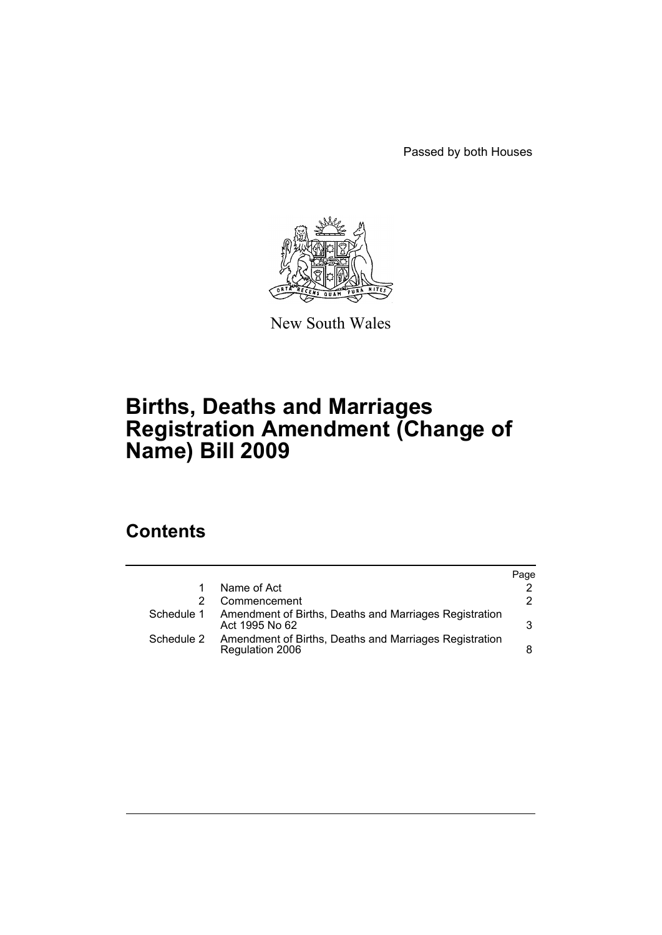Passed by both Houses



New South Wales

# **Births, Deaths and Marriages Registration Amendment (Change of Name) Bill 2009**

# **Contents**

|            |                                                                           | Page |
|------------|---------------------------------------------------------------------------|------|
|            | Name of Act                                                               |      |
|            | Commencement                                                              | 2    |
| Schedule 1 | Amendment of Births, Deaths and Marriages Registration<br>Act 1995 No 62  | 3    |
| Schedule 2 | Amendment of Births, Deaths and Marriages Registration<br>Regulation 2006 | 8    |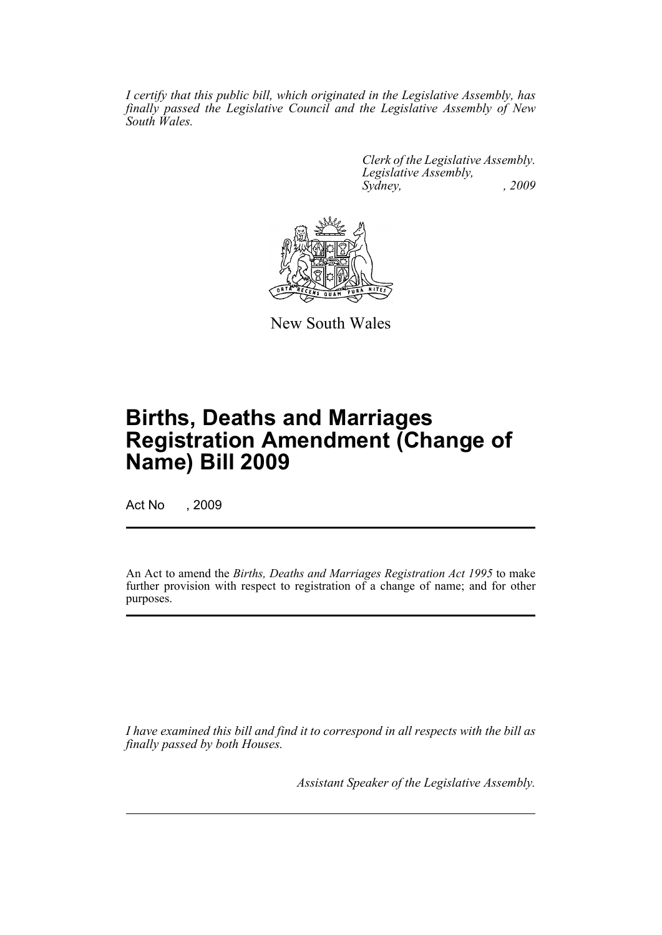*I certify that this public bill, which originated in the Legislative Assembly, has finally passed the Legislative Council and the Legislative Assembly of New South Wales.*

> *Clerk of the Legislative Assembly. Legislative Assembly, Sydney, , 2009*



New South Wales

# **Births, Deaths and Marriages Registration Amendment (Change of Name) Bill 2009**

Act No , 2009

An Act to amend the *Births, Deaths and Marriages Registration Act 1995* to make further provision with respect to registration of a change of name; and for other purposes.

*I have examined this bill and find it to correspond in all respects with the bill as finally passed by both Houses.*

*Assistant Speaker of the Legislative Assembly.*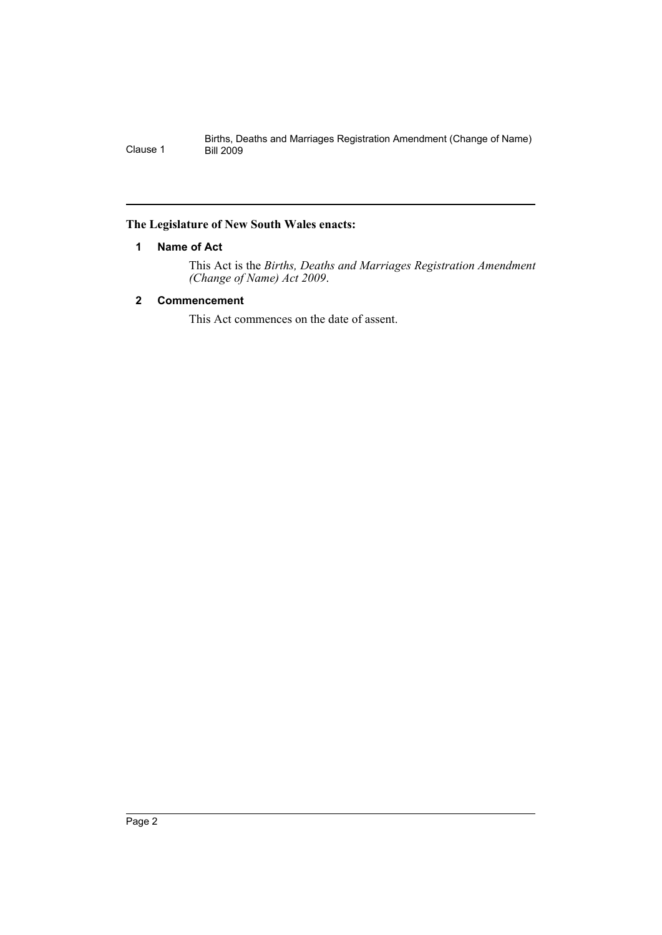## <span id="page-2-0"></span>**The Legislature of New South Wales enacts:**

## **1 Name of Act**

This Act is the *Births, Deaths and Marriages Registration Amendment (Change of Name) Act 2009*.

## <span id="page-2-1"></span>**2 Commencement**

This Act commences on the date of assent.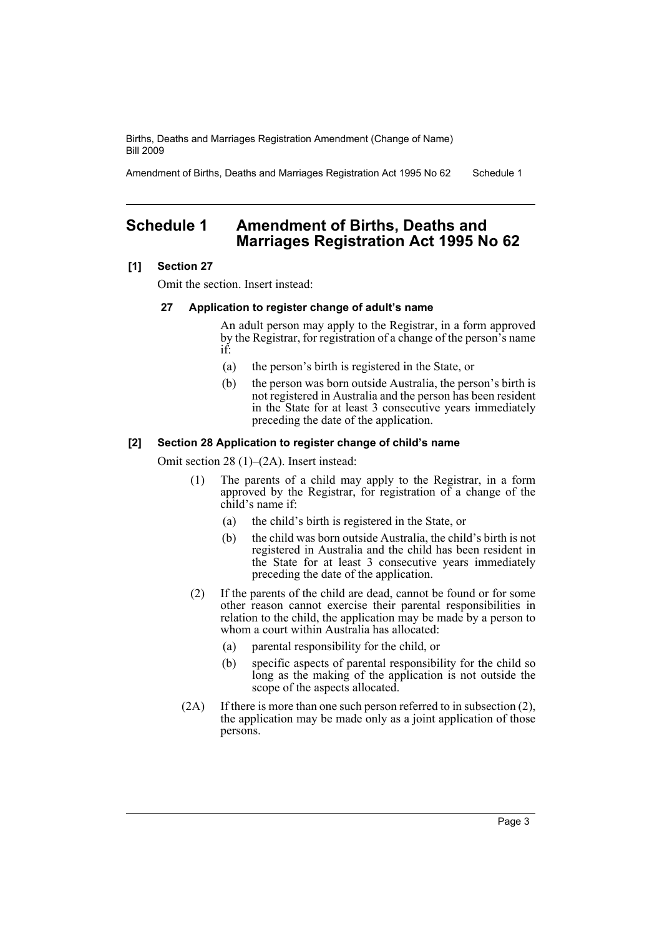Amendment of Births, Deaths and Marriages Registration Act 1995 No 62 Schedule 1

## <span id="page-3-0"></span>**Schedule 1 Amendment of Births, Deaths and Marriages Registration Act 1995 No 62**

## **[1] Section 27**

Omit the section. Insert instead:

## **27 Application to register change of adult's name**

An adult person may apply to the Registrar, in a form approved by the Registrar, for registration of a change of the person's name if:

- (a) the person's birth is registered in the State, or
- (b) the person was born outside Australia, the person's birth is not registered in Australia and the person has been resident in the State for at least 3 consecutive years immediately preceding the date of the application.

### **[2] Section 28 Application to register change of child's name**

Omit section 28 (1)–(2A). Insert instead:

- (1) The parents of a child may apply to the Registrar, in a form approved by the Registrar, for registration of a change of the child's name if:
	- (a) the child's birth is registered in the State, or
	- (b) the child was born outside Australia, the child's birth is not registered in Australia and the child has been resident in the State for at least 3 consecutive years immediately preceding the date of the application.
- (2) If the parents of the child are dead, cannot be found or for some other reason cannot exercise their parental responsibilities in relation to the child, the application may be made by a person to whom a court within Australia has allocated:
	- (a) parental responsibility for the child, or
	- (b) specific aspects of parental responsibility for the child so long as the making of the application is not outside the scope of the aspects allocated.
- (2A) If there is more than one such person referred to in subsection (2), the application may be made only as a joint application of those persons.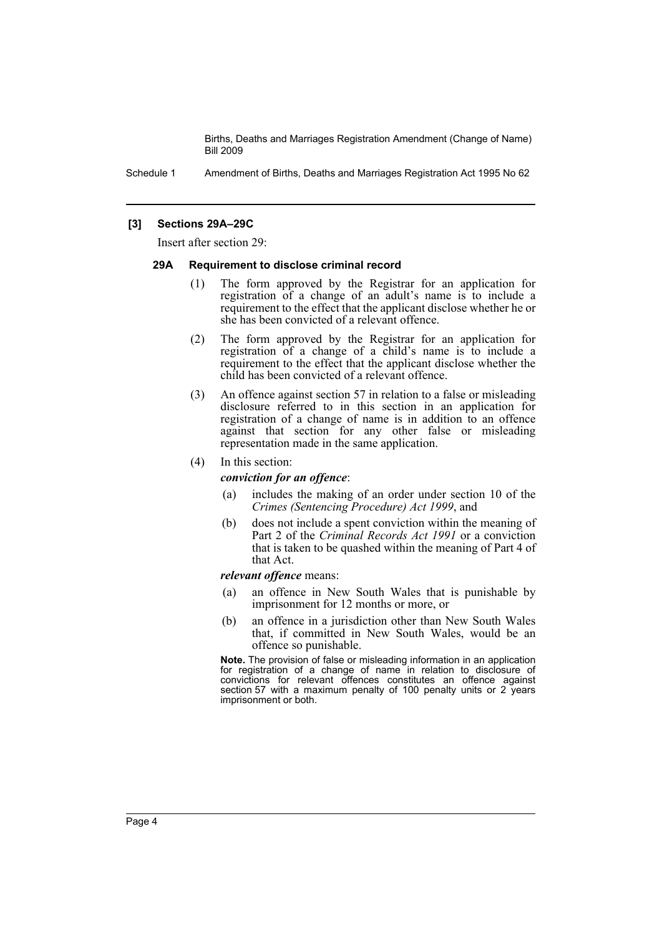Schedule 1 Amendment of Births, Deaths and Marriages Registration Act 1995 No 62

## **[3] Sections 29A–29C**

Insert after section 29:

#### **29A Requirement to disclose criminal record**

- (1) The form approved by the Registrar for an application for registration of a change of an adult's name is to include a requirement to the effect that the applicant disclose whether he or she has been convicted of a relevant offence.
- (2) The form approved by the Registrar for an application for registration of a change of a child's name is to include a requirement to the effect that the applicant disclose whether the child has been convicted of a relevant offence.
- (3) An offence against section 57 in relation to a false or misleading disclosure referred to in this section in an application for registration of a change of name is in addition to an offence against that section for any other false or misleading representation made in the same application.

#### (4) In this section:

#### *conviction for an offence*:

- (a) includes the making of an order under section 10 of the *Crimes (Sentencing Procedure) Act 1999*, and
- (b) does not include a spent conviction within the meaning of Part 2 of the *Criminal Records Act 1991* or a conviction that is taken to be quashed within the meaning of Part 4 of that Act.

#### *relevant offence* means:

- (a) an offence in New South Wales that is punishable by imprisonment for 12 months or more, or
- (b) an offence in a jurisdiction other than New South Wales that, if committed in New South Wales, would be an offence so punishable.

**Note.** The provision of false or misleading information in an application for registration of a change of name in relation to disclosure of convictions for relevant offences constitutes an offence against section 57 with a maximum penalty of 100 penalty units or 2 years imprisonment or both.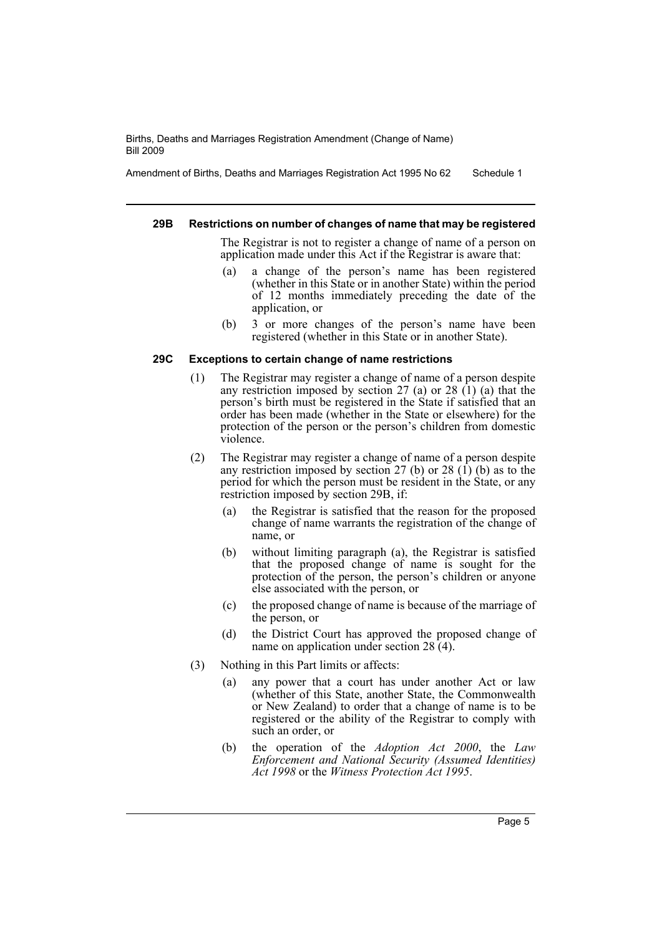Amendment of Births, Deaths and Marriages Registration Act 1995 No 62 Schedule 1

#### **29B Restrictions on number of changes of name that may be registered**

The Registrar is not to register a change of name of a person on application made under this Act if the Registrar is aware that:

- (a) a change of the person's name has been registered (whether in this State or in another State) within the period of 12 months immediately preceding the date of the application, or
- (b) 3 or more changes of the person's name have been registered (whether in this State or in another State).

## **29C Exceptions to certain change of name restrictions**

- (1) The Registrar may register a change of name of a person despite any restriction imposed by section  $27$  (a) or  $28$  (1) (a) that the person's birth must be registered in the State if satisfied that an order has been made (whether in the State or elsewhere) for the protection of the person or the person's children from domestic violence.
- (2) The Registrar may register a change of name of a person despite any restriction imposed by section 27 (b) or 28  $(1)$  (b) as to the period for which the person must be resident in the State, or any restriction imposed by section 29B, if:
	- (a) the Registrar is satisfied that the reason for the proposed change of name warrants the registration of the change of name, or
	- (b) without limiting paragraph (a), the Registrar is satisfied that the proposed change of name is sought for the protection of the person, the person's children or anyone else associated with the person, or
	- (c) the proposed change of name is because of the marriage of the person, or
	- (d) the District Court has approved the proposed change of name on application under section  $28(4)$ .
- (3) Nothing in this Part limits or affects:
	- (a) any power that a court has under another Act or law (whether of this State, another State, the Commonwealth or New Zealand) to order that a change of name is to be registered or the ability of the Registrar to comply with such an order, or
	- (b) the operation of the *Adoption Act 2000*, the *Law Enforcement and National Security (Assumed Identities) Act 1998* or the *Witness Protection Act 1995*.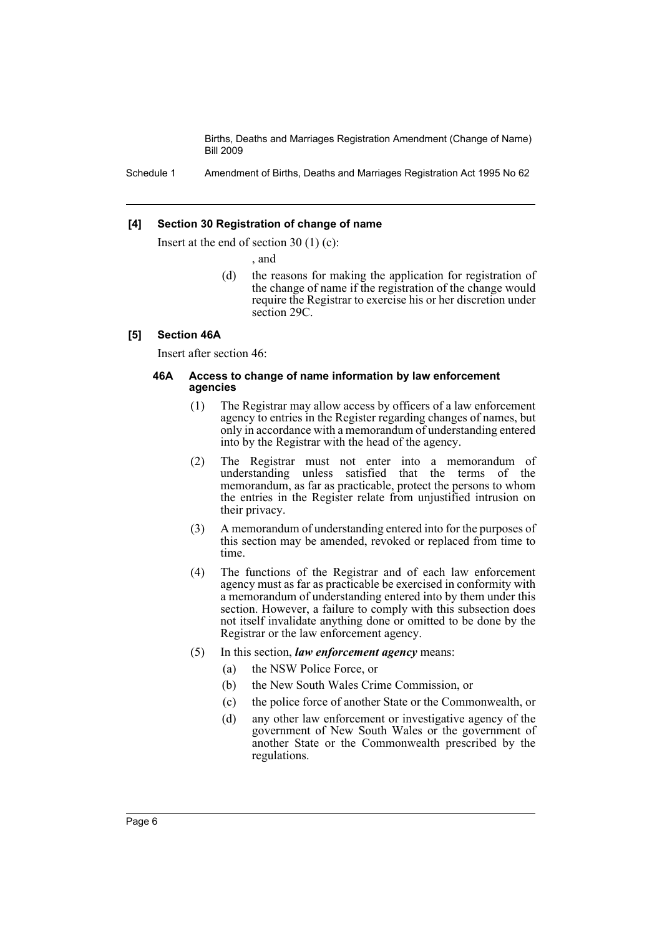Schedule 1 Amendment of Births, Deaths and Marriages Registration Act 1995 No 62

#### **[4] Section 30 Registration of change of name**

Insert at the end of section 30 (1) (c):

, and

(d) the reasons for making the application for registration of the change of name if the registration of the change would require the Registrar to exercise his or her discretion under section 29C.

#### **[5] Section 46A**

Insert after section 46:

#### **46A Access to change of name information by law enforcement agencies**

- (1) The Registrar may allow access by officers of a law enforcement agency to entries in the Register regarding changes of names, but only in accordance with a memorandum of understanding entered into by the Registrar with the head of the agency.
- (2) The Registrar must not enter into a memorandum of understanding unless satisfied that the terms of the memorandum, as far as practicable, protect the persons to whom the entries in the Register relate from unjustified intrusion on their privacy.
- (3) A memorandum of understanding entered into for the purposes of this section may be amended, revoked or replaced from time to time.
- (4) The functions of the Registrar and of each law enforcement agency must as far as practicable be exercised in conformity with a memorandum of understanding entered into by them under this section. However, a failure to comply with this subsection does not itself invalidate anything done or omitted to be done by the Registrar or the law enforcement agency.
- (5) In this section, *law enforcement agency* means:
	- (a) the NSW Police Force, or
	- (b) the New South Wales Crime Commission, or
	- (c) the police force of another State or the Commonwealth, or
	- (d) any other law enforcement or investigative agency of the government of New South Wales or the government of another State or the Commonwealth prescribed by the regulations.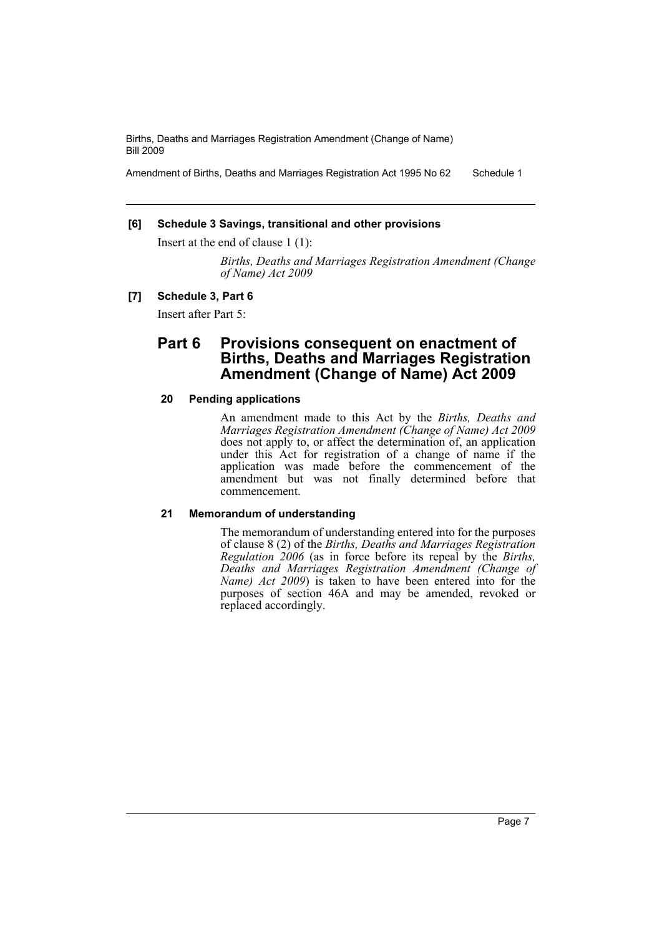Amendment of Births, Deaths and Marriages Registration Act 1995 No 62 Schedule 1

## **[6] Schedule 3 Savings, transitional and other provisions**

Insert at the end of clause 1 (1):

*Births, Deaths and Marriages Registration Amendment (Change of Name) Act 2009*

## **[7] Schedule 3, Part 6**

Insert after Part 5:

## **Part 6 Provisions consequent on enactment of Births, Deaths and Marriages Registration Amendment (Change of Name) Act 2009**

### **20 Pending applications**

An amendment made to this Act by the *Births, Deaths and Marriages Registration Amendment (Change of Name) Act 2009* does not apply to, or affect the determination of, an application under this Act for registration of a change of name if the application was made before the commencement of the amendment but was not finally determined before that commencement.

#### **21 Memorandum of understanding**

The memorandum of understanding entered into for the purposes of clause 8 (2) of the *Births, Deaths and Marriages Registration Regulation 2006* (as in force before its repeal by the *Births, Deaths and Marriages Registration Amendment (Change of Name) Act 2009*) is taken to have been entered into for the purposes of section 46A and may be amended, revoked or replaced accordingly.